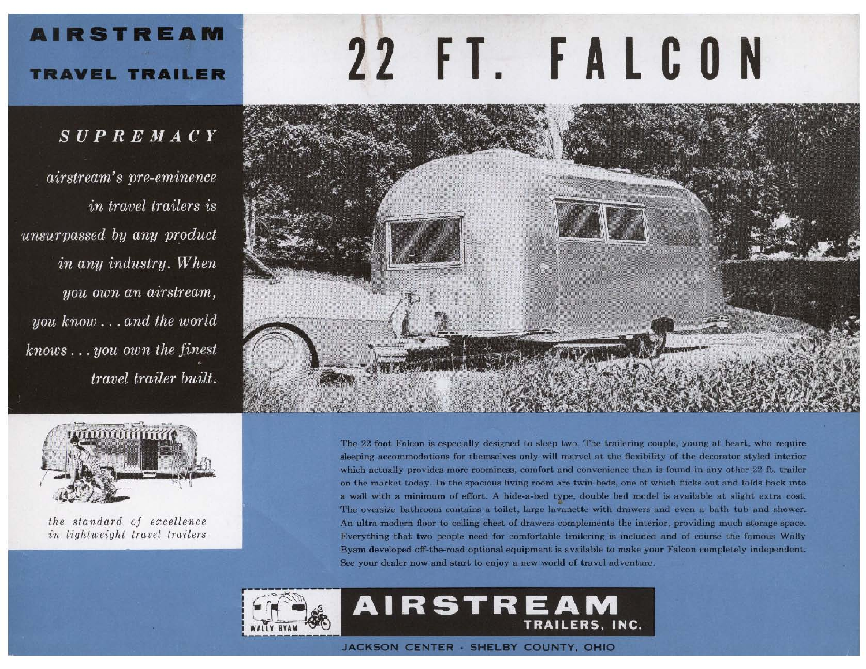# **AIRSTREAM**

## **TRAVEL TRAILER**

## $SUPREMACY$

airstream's pre-eminence in travel trailers is unsurpassed by any product in any industry. When you own an airstream, you  $known \ldots$  and the world  $knows...you$  own the finest travel trailer built.





the standard of excellence in lightweight travel trailers

The 22 foot Falcon is especially designed to sleep two. The trailering couple, young at heart, who require sleeping accommodations for themselves only will marvel at the flexibility of the decorator styled interior which actually provides more roominess, comfort and convenience than is found in any other 22 ft. trailer on the market today. In the spacious living room are twin beds, one of which flicks out and folds back into a wall with a minimum of effort. A hide-a-bed type, double bed model is available at slight extra cost. The oversize bathroom contains a toilet, large lavanette with drawers and even a bath tub and shower. An ultra-modern floor to ceiling chest of drawers complements the interior, providing much storage space. Everything that two people need for comfortable trailering is included and of course the famous Wally Byam developed off-the-road optional equipment is available to make your Falcon completely independent. See your dealer now and start to enjoy a new world of travel adventure.



JACKSON CENTER - SHELBY COUNTY, OHIO